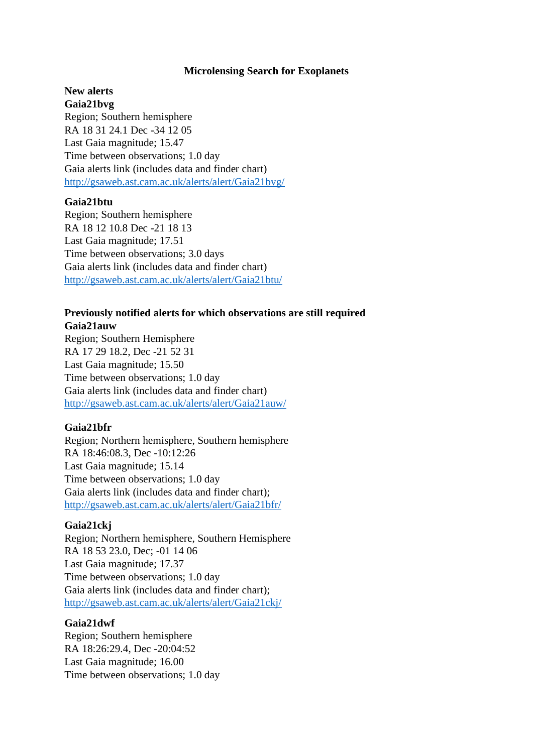#### **Microlensing Search for Exoplanets**

## **New alerts Gaia21bvg**

Region; Southern hemisphere RA 18 31 24.1 Dec -34 12 05 Last Gaia magnitude; 15.47 Time between observations; 1.0 day Gaia alerts link (includes data and finder chart) <http://gsaweb.ast.cam.ac.uk/alerts/alert/Gaia21bvg/>

# **Gaia21btu**

Region; Southern hemisphere RA 18 12 10.8 Dec -21 18 13 Last Gaia magnitude; 17.51 Time between observations; 3.0 days Gaia alerts link (includes data and finder chart) <http://gsaweb.ast.cam.ac.uk/alerts/alert/Gaia21btu/>

#### **Previously notified alerts for which observations are still required Gaia21auw**

Region; Southern Hemisphere RA 17 29 18.2, Dec -21 52 31 Last Gaia magnitude; 15.50 Time between observations; 1.0 day Gaia alerts link (includes data and finder chart) <http://gsaweb.ast.cam.ac.uk/alerts/alert/Gaia21auw/>

## **Gaia21bfr**

Region; Northern hemisphere, Southern hemisphere RA 18:46:08.3, Dec -10:12:26 Last Gaia magnitude; 15.14 Time between observations; 1.0 day Gaia alerts link (includes data and finder chart); <http://gsaweb.ast.cam.ac.uk/alerts/alert/Gaia21bfr/>

## **Gaia21ckj**

Region; Northern hemisphere, Southern Hemisphere RA 18 53 23.0, Dec; -01 14 06 Last Gaia magnitude; 17.37 Time between observations; 1.0 day Gaia alerts link (includes data and finder chart); <http://gsaweb.ast.cam.ac.uk/alerts/alert/Gaia21ckj/>

#### **Gaia21dwf**

Region; Southern hemisphere RA 18:26:29.4, Dec -20:04:52 Last Gaia magnitude; 16.00 Time between observations; 1.0 day